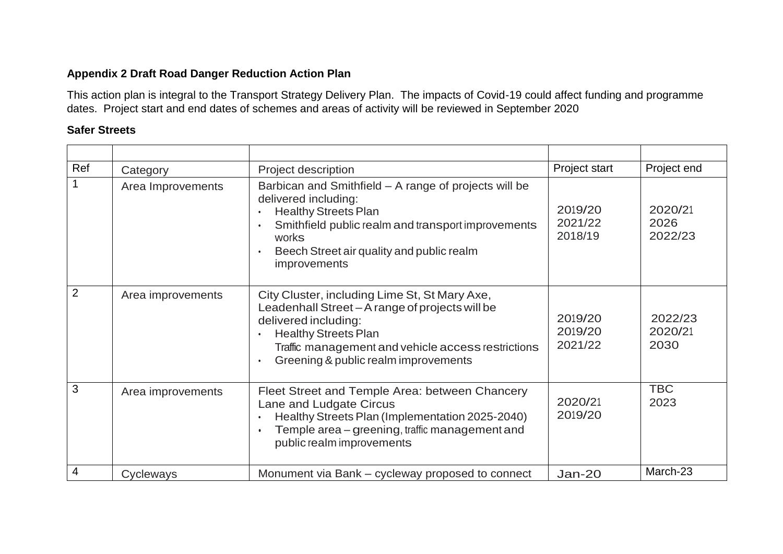## **Appendix 2 Draft Road Danger Reduction Action Plan**

This action plan is integral to the Transport Strategy Delivery Plan. The impacts of Covid-19 could affect funding and programme dates. Project start and end dates of schemes and areas of activity will be reviewed in September 2020

#### **Safer Streets**

| Ref            | Category          | Project description                                                                                                                                                                                                                                   | Project start                 | Project end                |
|----------------|-------------------|-------------------------------------------------------------------------------------------------------------------------------------------------------------------------------------------------------------------------------------------------------|-------------------------------|----------------------------|
| 1              | Area Improvements | Barbican and Smithfield - A range of projects will be<br>delivered including:<br><b>Healthy Streets Plan</b><br>Smithfield public realm and transport improvements<br>works<br>Beech Street air quality and public realm<br>improvements              | 2019/20<br>2021/22<br>2018/19 | 2020/21<br>2026<br>2022/23 |
| $\overline{2}$ | Area improvements | City Cluster, including Lime St, St Mary Axe,<br>Leadenhall Street - A range of projects will be<br>delivered including:<br><b>Healthy Streets Plan</b><br>Traffic management and vehicle access restrictions<br>Greening & public realm improvements | 2019/20<br>2019/20<br>2021/22 | 2022/23<br>2020/21<br>2030 |
| 3              | Area improvements | Fleet Street and Temple Area: between Chancery<br>Lane and Ludgate Circus<br>Healthy Streets Plan (Implementation 2025-2040)<br>Temple area – greening, traffic management and<br>public realm improvements                                           | 2020/21<br>2019/20            | <b>TBC</b><br>2023         |
| 4              | Cycleways         | Monument via Bank - cycleway proposed to connect                                                                                                                                                                                                      | $Jan-20$                      | March-23                   |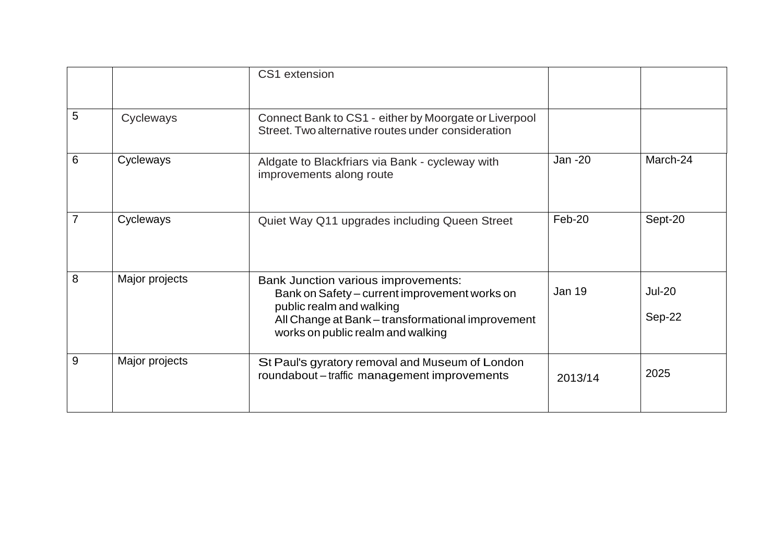|   |                | CS1 extension                                                                                                                                                                                              |         |                         |
|---|----------------|------------------------------------------------------------------------------------------------------------------------------------------------------------------------------------------------------------|---------|-------------------------|
| 5 | Cycleways      | Connect Bank to CS1 - either by Moorgate or Liverpool<br>Street. Two alternative routes under consideration                                                                                                |         |                         |
| 6 | Cycleways      | Aldgate to Blackfriars via Bank - cycleway with<br>improvements along route                                                                                                                                | Jan -20 | March-24                |
|   | Cycleways      | Quiet Way Q11 upgrades including Queen Street                                                                                                                                                              | Feb-20  | Sept-20                 |
| 8 | Major projects | Bank Junction various improvements:<br>Bank on Safety - current improvement works on<br>public realm and walking<br>All Change at Bank - transformational improvement<br>works on public realm and walking | Jan 19  | <b>Jul-20</b><br>Sep-22 |
| 9 | Major projects | St Paul's gyratory removal and Museum of London<br>roundabout-traffic management improvements                                                                                                              | 2013/14 | 2025                    |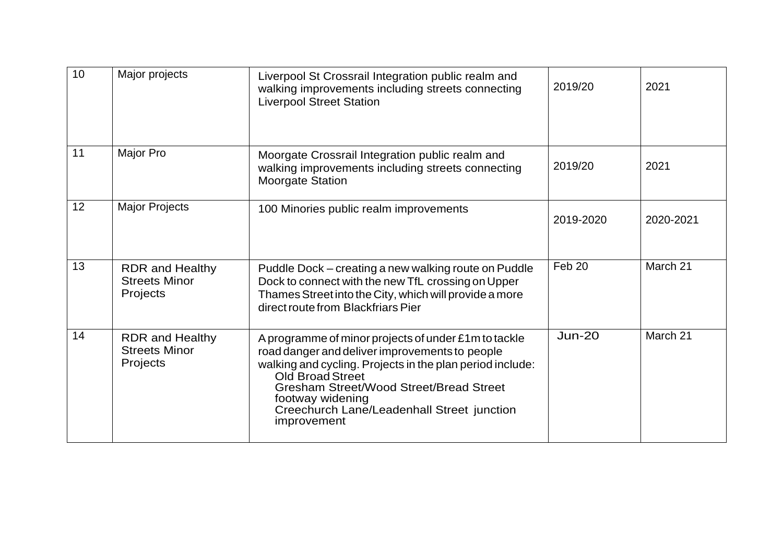| 10 | Major projects                                             | Liverpool St Crossrail Integration public realm and<br>walking improvements including streets connecting<br><b>Liverpool Street Station</b>                                                                                                                                                                                       | 2019/20   | 2021      |
|----|------------------------------------------------------------|-----------------------------------------------------------------------------------------------------------------------------------------------------------------------------------------------------------------------------------------------------------------------------------------------------------------------------------|-----------|-----------|
| 11 | Major Pro                                                  | Moorgate Crossrail Integration public realm and<br>walking improvements including streets connecting<br><b>Moorgate Station</b>                                                                                                                                                                                                   | 2019/20   | 2021      |
| 12 | <b>Major Projects</b>                                      | 100 Minories public realm improvements                                                                                                                                                                                                                                                                                            | 2019-2020 | 2020-2021 |
| 13 | <b>RDR and Healthy</b><br><b>Streets Minor</b><br>Projects | Puddle Dock – creating a new walking route on Puddle<br>Dock to connect with the new TfL crossing on Upper<br>Thames Street into the City, which will provide a more<br>direct route from Blackfriars Pier                                                                                                                        | Feb 20    | March 21  |
| 14 | <b>RDR and Healthy</b><br><b>Streets Minor</b><br>Projects | A programme of minor projects of under £1m to tackle<br>road danger and deliver improvements to people<br>walking and cycling. Projects in the plan period include:<br><b>Old Broad Street</b><br><b>Gresham Street/Wood Street/Bread Street</b><br>footway widening<br>Creechurch Lane/Leadenhall Street junction<br>improvement | $Jun-20$  | March 21  |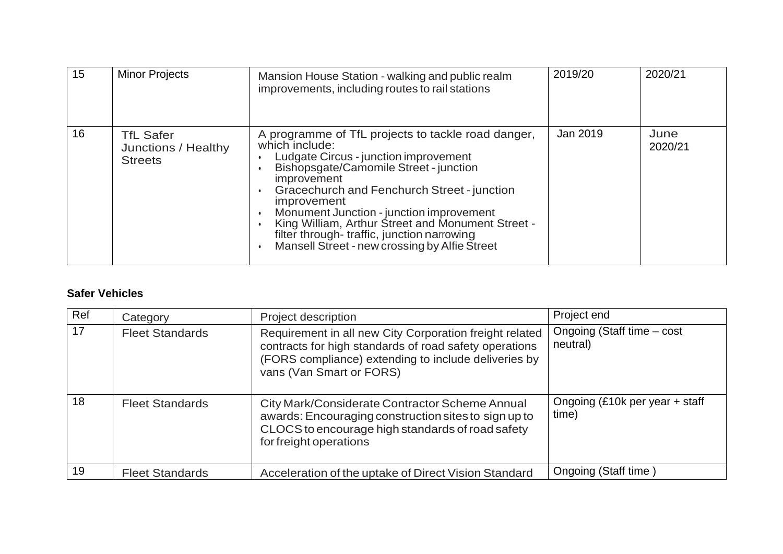| 15 | <b>Minor Projects</b>                                     | Mansion House Station - walking and public realm<br>improvements, including routes to rail stations                                                                                                                                                                                                                                                                                                                                  | 2019/20  | 2020/21         |
|----|-----------------------------------------------------------|--------------------------------------------------------------------------------------------------------------------------------------------------------------------------------------------------------------------------------------------------------------------------------------------------------------------------------------------------------------------------------------------------------------------------------------|----------|-----------------|
| 16 | <b>TfL Safer</b><br>Junctions / Healthy<br><b>Streets</b> | A programme of TfL projects to tackle road danger,<br>which include:<br>Ludgate Circus - junction improvement<br>Bishopsgate/Camomile Street - junction<br>improvement<br>Gracechurch and Fenchurch Street - junction<br>improvement<br>Monument Junction - junction improvement<br>King William, Arthur Street and Monument Street -<br>filter through-traffic, junction narrowing<br>Mansell Street - new crossing by Alfie Street | Jan 2019 | June<br>2020/21 |

### **Safer Vehicles**

| Ref | Category               | Project description                                                                                                                                                                                   | Project end                             |
|-----|------------------------|-------------------------------------------------------------------------------------------------------------------------------------------------------------------------------------------------------|-----------------------------------------|
| 17  | <b>Fleet Standards</b> | Requirement in all new City Corporation freight related<br>contracts for high standards of road safety operations<br>(FORS compliance) extending to include deliveries by<br>vans (Van Smart or FORS) | Ongoing (Staff time - cost<br>neutral)  |
| 18  | <b>Fleet Standards</b> | City Mark/Considerate Contractor Scheme Annual<br>awards: Encouraging construction sites to sign up to<br>CLOCS to encourage high standards of road safety<br>for freight operations                  | Ongoing (£10k per year + staff<br>time) |
| 19  | <b>Fleet Standards</b> | Acceleration of the uptake of Direct Vision Standard                                                                                                                                                  | Ongoing (Staff time)                    |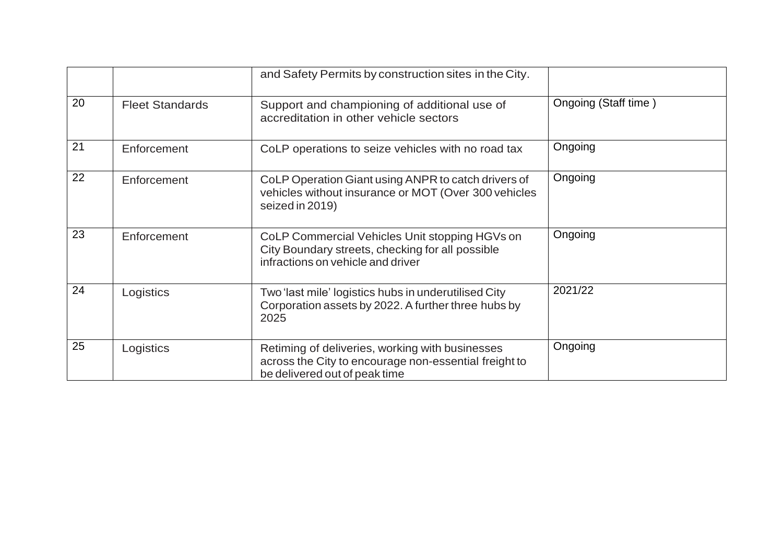|    |                        | and Safety Permits by construction sites in the City.                                                                                     |                      |
|----|------------------------|-------------------------------------------------------------------------------------------------------------------------------------------|----------------------|
| 20 | <b>Fleet Standards</b> | Support and championing of additional use of<br>accreditation in other vehicle sectors                                                    | Ongoing (Staff time) |
| 21 | Enforcement            | CoLP operations to seize vehicles with no road tax                                                                                        | Ongoing              |
| 22 | Enforcement            | CoLP Operation Giant using ANPR to catch drivers of<br>vehicles without insurance or MOT (Over 300 vehicles<br>seized in 2019)            | Ongoing              |
| 23 | Enforcement            | CoLP Commercial Vehicles Unit stopping HGVs on<br>City Boundary streets, checking for all possible<br>infractions on vehicle and driver   | Ongoing              |
| 24 | Logistics              | Two 'last mile' logistics hubs in underutilised City<br>Corporation assets by 2022. A further three hubs by<br>2025                       | 2021/22              |
| 25 | Logistics              | Retiming of deliveries, working with businesses<br>across the City to encourage non-essential freight to<br>be delivered out of peak time | Ongoing              |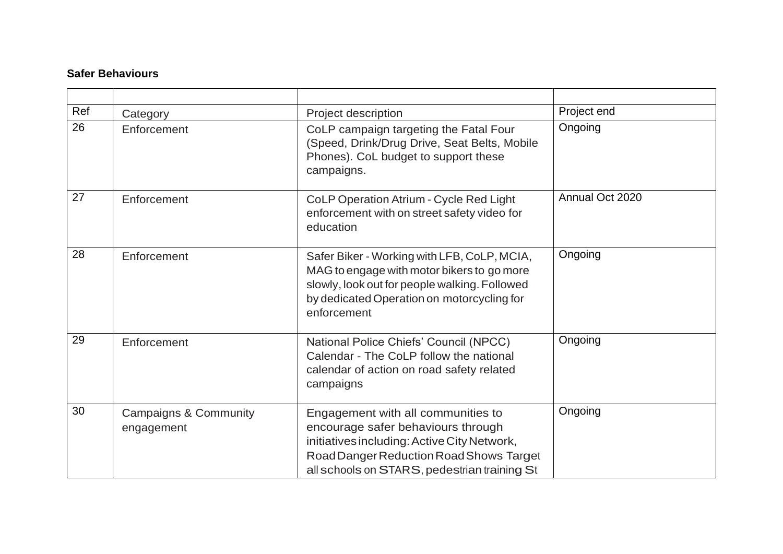# **Safer Behaviours**

| Ref | Category                                       | Project description                                                                                                                                                                                                | Project end     |
|-----|------------------------------------------------|--------------------------------------------------------------------------------------------------------------------------------------------------------------------------------------------------------------------|-----------------|
| 26  | Enforcement                                    | CoLP campaign targeting the Fatal Four<br>(Speed, Drink/Drug Drive, Seat Belts, Mobile<br>Phones). CoL budget to support these<br>campaigns.                                                                       | Ongoing         |
| 27  | Enforcement                                    | CoLP Operation Atrium - Cycle Red Light<br>enforcement with on street safety video for<br>education                                                                                                                | Annual Oct 2020 |
| 28  | Enforcement                                    | Safer Biker - Working with LFB, CoLP, MCIA,<br>MAG to engage with motor bikers to go more<br>slowly, look out for people walking. Followed<br>by dedicated Operation on motorcycling for<br>enforcement            | Ongoing         |
| 29  | Enforcement                                    | National Police Chiefs' Council (NPCC)<br>Calendar - The CoLP follow the national<br>calendar of action on road safety related<br>campaigns                                                                        | Ongoing         |
| 30  | <b>Campaigns &amp; Community</b><br>engagement | Engagement with all communities to<br>encourage safer behaviours through<br>initiatives including: Active City Network,<br>Road Danger Reduction Road Shows Target<br>all schools on STARS, pedestrian training St | Ongoing         |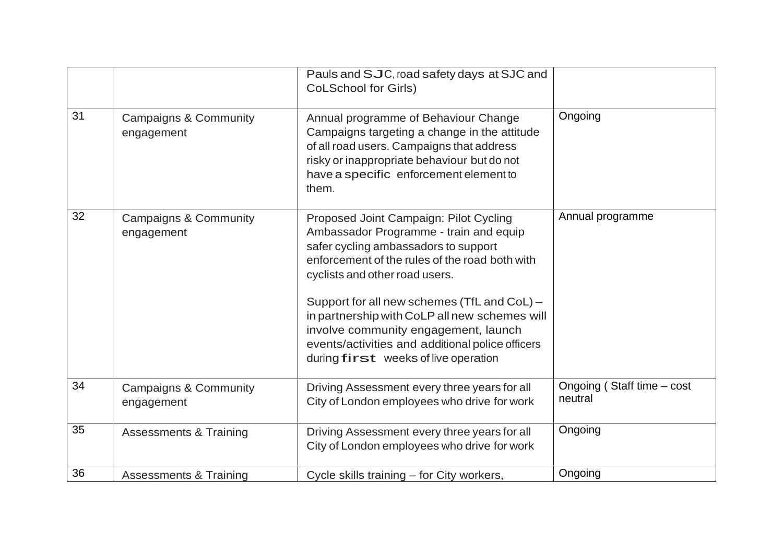|    |                                                | Pauls and SJC, road safety days at SJC and<br><b>CoLSchool for Girls)</b>                                                                                                                                                                                                                                                                                                                                                                        |                                       |
|----|------------------------------------------------|--------------------------------------------------------------------------------------------------------------------------------------------------------------------------------------------------------------------------------------------------------------------------------------------------------------------------------------------------------------------------------------------------------------------------------------------------|---------------------------------------|
| 31 | <b>Campaigns &amp; Community</b><br>engagement | Annual programme of Behaviour Change<br>Campaigns targeting a change in the attitude<br>of all road users. Campaigns that address<br>risky or inappropriate behaviour but do not<br>have a specific enforcement element to<br>them.                                                                                                                                                                                                              | Ongoing                               |
| 32 | <b>Campaigns &amp; Community</b><br>engagement | Proposed Joint Campaign: Pilot Cycling<br>Ambassador Programme - train and equip<br>safer cycling ambassadors to support<br>enforcement of the rules of the road both with<br>cyclists and other road users.<br>Support for all new schemes (TfL and CoL) -<br>in partnership with CoLP all new schemes will<br>involve community engagement, launch<br>events/activities and additional police officers<br>during first weeks of live operation | Annual programme                      |
| 34 | <b>Campaigns &amp; Community</b><br>engagement | Driving Assessment every three years for all<br>City of London employees who drive for work                                                                                                                                                                                                                                                                                                                                                      | Ongoing (Staff time - cost<br>neutral |
| 35 | <b>Assessments &amp; Training</b>              | Driving Assessment every three years for all<br>City of London employees who drive for work                                                                                                                                                                                                                                                                                                                                                      | Ongoing                               |
| 36 | <b>Assessments &amp; Training</b>              | Cycle skills training – for City workers,                                                                                                                                                                                                                                                                                                                                                                                                        | Ongoing                               |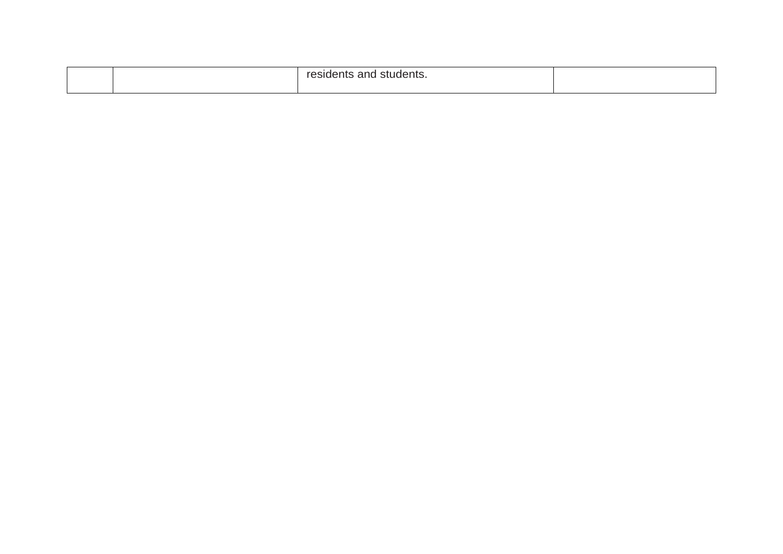|  | $r \triangle C$<br>$-1$<br>.<br>. ו<br>students.<br>residents and |  |
|--|-------------------------------------------------------------------|--|
|  |                                                                   |  |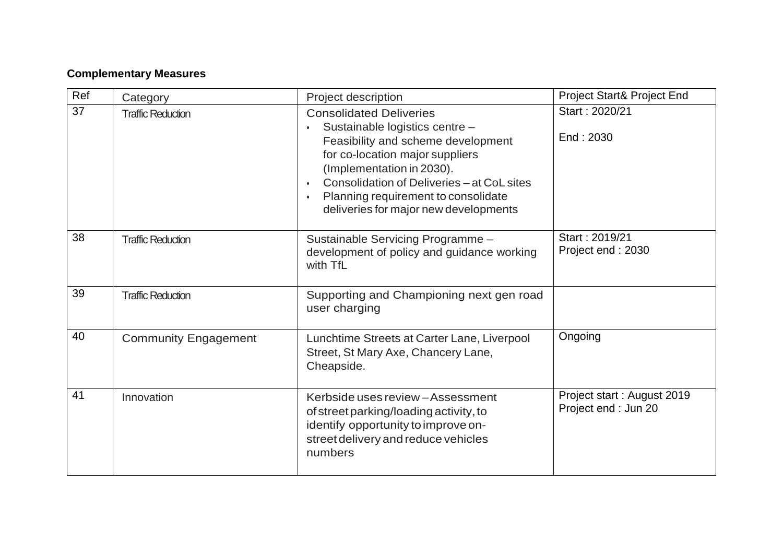# **Complementary Measures**

| Ref | Category                    | Project description                                                                                                                                                                                                                                                                                                            | Project Start& Project End                         |
|-----|-----------------------------|--------------------------------------------------------------------------------------------------------------------------------------------------------------------------------------------------------------------------------------------------------------------------------------------------------------------------------|----------------------------------------------------|
| 37  | <b>Traffic Reduction</b>    | <b>Consolidated Deliveries</b><br>Sustainable logistics centre -<br>$\bullet$<br>Feasibility and scheme development<br>for co-location major suppliers<br>(Implementation in 2030).<br>Consolidation of Deliveries - at CoL sites<br>$\bullet$<br>Planning requirement to consolidate<br>deliveries for major new developments | Start: 2020/21<br>End: 2030                        |
| 38  | <b>Traffic Reduction</b>    | Sustainable Servicing Programme -<br>development of policy and guidance working<br>with TfL                                                                                                                                                                                                                                    | Start: 2019/21<br>Project end: 2030                |
| 39  | <b>Traffic Reduction</b>    | Supporting and Championing next gen road<br>user charging                                                                                                                                                                                                                                                                      |                                                    |
| 40  | <b>Community Engagement</b> | Lunchtime Streets at Carter Lane, Liverpool<br>Street, St Mary Axe, Chancery Lane,<br>Cheapside.                                                                                                                                                                                                                               | Ongoing                                            |
| 41  | Innovation                  | Kerbside uses review - Assessment<br>of street parking/loading activity, to<br>identify opportunity to improve on-<br>street delivery and reduce vehicles<br>numbers                                                                                                                                                           | Project start: August 2019<br>Project end : Jun 20 |